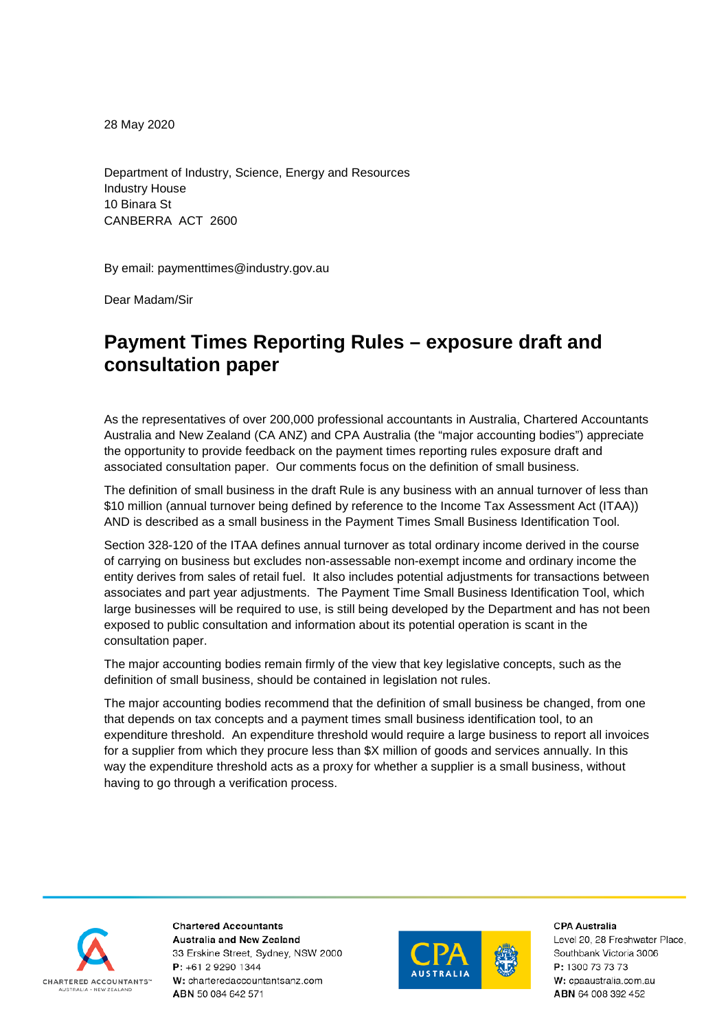28 May 2020

Department of Industry, Science, Energy and Resources Industry House 10 Binara St CANBERRA ACT 2600

By email: paymenttimes@industry.gov.au

Dear Madam/Sir

## **Payment Times Reporting Rules – exposure draft and consultation paper**

As the representatives of over 200,000 professional accountants in Australia, Chartered Accountants Australia and New Zealand (CA ANZ) and CPA Australia (the "major accounting bodies") appreciate the opportunity to provide feedback on the payment times reporting rules exposure draft and associated consultation paper. Our comments focus on the definition of small business.

The definition of small business in the draft Rule is any business with an annual turnover of less than \$10 million (annual turnover being defined by reference to the Income Tax Assessment Act (ITAA)) AND is described as a small business in the Payment Times Small Business Identification Tool.

Section 328-120 of the ITAA defines annual turnover as total ordinary income derived in the course of carrying on business but excludes [non-assessable non-exempt income](http://classic.austlii.edu.au/au/legis/cth/consol_act/itaa1997240/s995.1.html#non-assessable_non-exempt_income) and [ordinary income](http://classic.austlii.edu.au/au/legis/cth/consol_act/itaa1997240/s995.1.html#ordinary_income) the [entity](http://classic.austlii.edu.au/au/legis/cth/consol_act/itaa1997240/s995.1.html#entity) [derives](http://classic.austlii.edu.au/au/legis/cth/consol_act/itaa1997240/s995.1.html#derive) from sales of [retail fuel.](http://classic.austlii.edu.au/au/legis/cth/consol_act/itaa1997240/s995.1.html#retail_fuel) It also includes potential adjustments for transactions between associates and part year adjustments. The Payment Time Small Business Identification Tool, which large businesses will be required to use, is still being developed by the Department and has not been exposed to public consultation and information about its potential operation is scant in the consultation paper.

The major accounting bodies remain firmly of the view that key legislative concepts, such as the definition of small business, should be contained in legislation not rules.

The major accounting bodies recommend that the definition of small business be changed, from one that depends on tax concepts and a payment times small business identification tool, to an expenditure threshold. An expenditure threshold would require a large business to report all invoices for a supplier from which they procure less than \$X million of goods and services annually. In this way the expenditure threshold acts as a proxy for whether a supplier is a small business, without having to go through a verification process.



**Chartered Accountants Australia and New Zealand** 33 Erskine Street, Sydney, NSW 2000 P: +61 2 9290 1344 W: charteredaccountantsanz.com ABN 50 084 642 571



**CPA Australia** 

Level 20, 28 Freshwater Place, Southbank Victoria 3006 P: 1300 73 73 73 W: cpaaustralia.com.au ABN 64 008 392 452